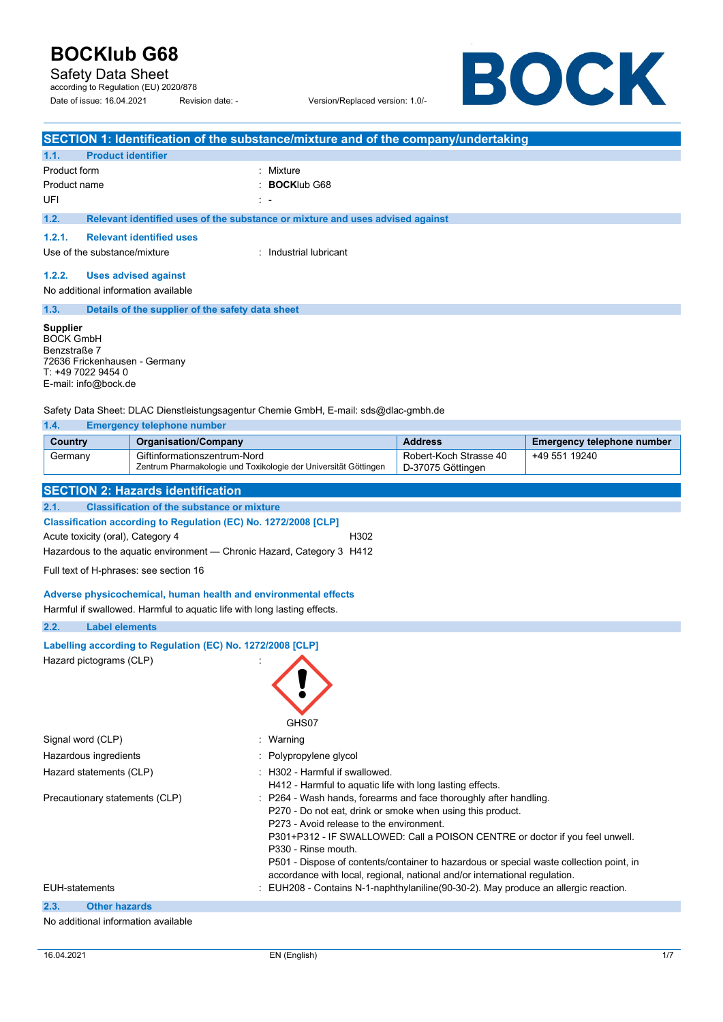Safety Data Sheet

according to Regulation (EU) 2020/878 Date of issue: 16.04.2021 Revision date: - Version/Replaced version: 1.0/-

BOCK

|                                                                                                     | SECTION 1: Identification of the substance/mixture and of the company/undertaking                                         |                                             |                                   |
|-----------------------------------------------------------------------------------------------------|---------------------------------------------------------------------------------------------------------------------------|---------------------------------------------|-----------------------------------|
| <b>Product identifier</b><br>1.1.                                                                   |                                                                                                                           |                                             |                                   |
| Product form                                                                                        | : Mixture                                                                                                                 |                                             |                                   |
| Product name                                                                                        | <b>BOCKIub G68</b>                                                                                                        |                                             |                                   |
| UFI                                                                                                 |                                                                                                                           |                                             |                                   |
| 1.2.                                                                                                | Relevant identified uses of the substance or mixture and uses advised against                                             |                                             |                                   |
| 1.2.1.                                                                                              | <b>Relevant identified uses</b>                                                                                           |                                             |                                   |
| Use of the substance/mixture                                                                        | : Industrial lubricant                                                                                                    |                                             |                                   |
| 1.2.2.                                                                                              | <b>Uses advised against</b>                                                                                               |                                             |                                   |
| No additional information available                                                                 |                                                                                                                           |                                             |                                   |
| 1.3.                                                                                                | Details of the supplier of the safety data sheet                                                                          |                                             |                                   |
| Benzstraße 7<br>72636 Frickenhausen - Germany<br>T: +49 7022 9454 0<br>E-mail: info@bock.de<br>1.4. | Safety Data Sheet: DLAC Dienstleistungsagentur Chemie GmbH, E-mail: sds@dlac-gmbh.de<br><b>Emergency telephone number</b> |                                             |                                   |
| <b>Country</b>                                                                                      | <b>Organisation/Company</b>                                                                                               | <b>Address</b>                              | <b>Emergency telephone number</b> |
| Germany                                                                                             | Giftinformationszentrum-Nord<br>Zentrum Pharmakologie und Toxikologie der Universität Göttingen                           | Robert-Koch Strasse 40<br>D-37075 Göttingen | +49 551 19240                     |
|                                                                                                     | <b>SECTION 2: Hazards identification</b>                                                                                  |                                             |                                   |
| 2.1.                                                                                                | <b>Classification of the substance or mixture</b>                                                                         |                                             |                                   |
|                                                                                                     | Classification according to Regulation (EC) No. 1272/2008 [CLP]                                                           |                                             |                                   |
| Acute toxicity (oral), Category 4<br>H302                                                           |                                                                                                                           |                                             |                                   |
| Hazardous to the aquatic environment — Chronic Hazard, Category 3 H412                              |                                                                                                                           |                                             |                                   |
| Full text of H-phrases: see section 16                                                              |                                                                                                                           |                                             |                                   |

**Adverse physicochemical, human health and environmental effects** 

Harmful if swallowed. Harmful to aquatic life with long lasting effects.

#### **2.2. Label elements**

#### **Labelling according to Regulation (EC) No. 1272/2008 [CLP]**

Hazard pictograms (CLP) :



| Signal word (CLP)              | : Warning                                                                                                                                                                                                                                                                                                                                                                                                                                                   |
|--------------------------------|-------------------------------------------------------------------------------------------------------------------------------------------------------------------------------------------------------------------------------------------------------------------------------------------------------------------------------------------------------------------------------------------------------------------------------------------------------------|
| Hazardous ingredients          | : Polypropylene glycol                                                                                                                                                                                                                                                                                                                                                                                                                                      |
| Hazard statements (CLP)        | : H302 - Harmful if swallowed.<br>H412 - Harmful to aquatic life with long lasting effects.                                                                                                                                                                                                                                                                                                                                                                 |
| Precautionary statements (CLP) | : P264 - Wash hands, forearms and face thoroughly after handling.<br>P270 - Do not eat, drink or smoke when using this product.<br>P273 - Avoid release to the environment.<br>P301+P312 - IF SWALLOWED: Call a POISON CENTRE or doctor if you feel unwell.<br>P330 - Rinse mouth.<br>P501 - Dispose of contents/container to hazardous or special waste collection point, in<br>accordance with local, regional, national and/or international regulation. |
| <b>EUH-statements</b>          | : EUH208 - Contains N-1-naphthylaniline(90-30-2). May produce an allergic reaction.                                                                                                                                                                                                                                                                                                                                                                         |
| 2.3.<br><b>Other hazards</b>   |                                                                                                                                                                                                                                                                                                                                                                                                                                                             |

#### No additional information available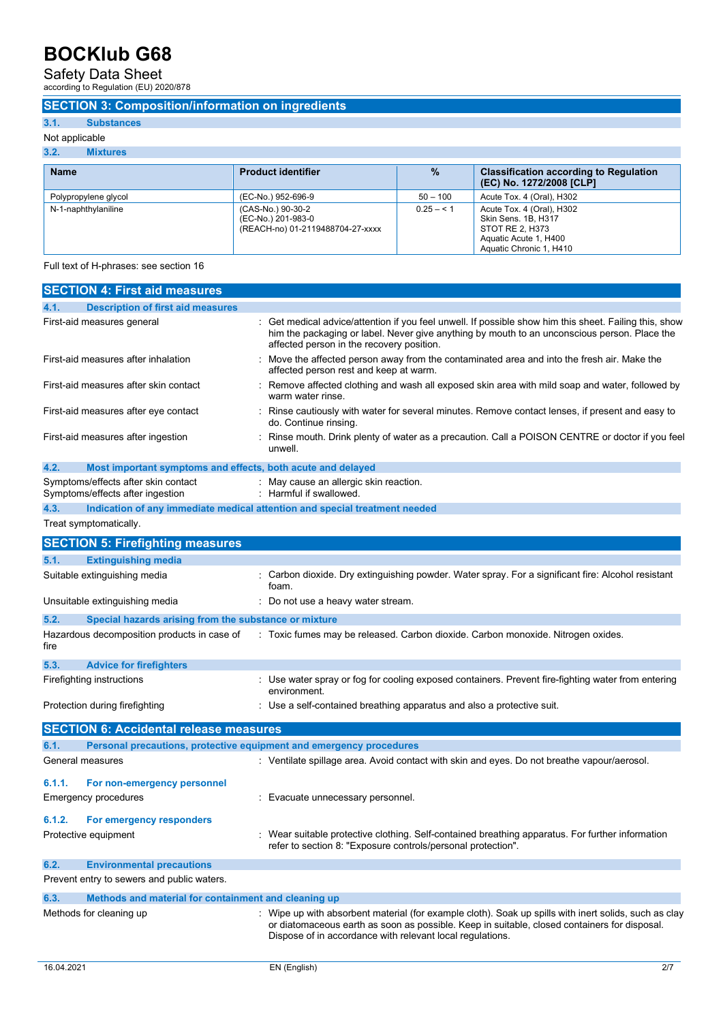### Safety Data Sheet according to Regulation (EU) 2020/878

#### **SECTION 3: Composition/information on ingredients**

#### **3.1. Substances**

Not applicable

|  | <b>Mixtures</b> |  |
|--|-----------------|--|
|  |                 |  |

| <b>Name</b>          | <b>Product identifier</b>                                                   | $\%$         | <b>Classification according to Regulation</b><br>(EC) No. 1272/2008 [CLP]                                               |
|----------------------|-----------------------------------------------------------------------------|--------------|-------------------------------------------------------------------------------------------------------------------------|
| Polypropylene glycol | (EC-No.) 952-696-9                                                          | $50 - 100$   | Acute Tox. 4 (Oral), H302                                                                                               |
| N-1-naphthylaniline  | (CAS-No.) 90-30-2<br>(EC-No.) 201-983-0<br>(REACH-no) 01-2119488704-27-xxxx | $0.25 - 5.1$ | Acute Tox. 4 (Oral), H302<br>Skin Sens, 1B, H317<br>STOT RE 2. H373<br>Aquatic Acute 1, H400<br>Aquatic Chronic 1, H410 |

Full text of H-phrases: see section 16

| <b>SECTION 4: First aid measures</b>                                               |                                                                                                                                                                                                                                                                  |
|------------------------------------------------------------------------------------|------------------------------------------------------------------------------------------------------------------------------------------------------------------------------------------------------------------------------------------------------------------|
| <b>Description of first aid measures</b><br>4.1.                                   |                                                                                                                                                                                                                                                                  |
| First-aid measures general                                                         | Get medical advice/attention if you feel unwell. If possible show him this sheet. Failing this, show<br>him the packaging or label. Never give anything by mouth to an unconscious person. Place the<br>affected person in the recovery position.                |
| First-aid measures after inhalation                                                | Move the affected person away from the contaminated area and into the fresh air. Make the<br>affected person rest and keep at warm.                                                                                                                              |
| First-aid measures after skin contact                                              | Remove affected clothing and wash all exposed skin area with mild soap and water, followed by<br>warm water rinse.                                                                                                                                               |
| First-aid measures after eye contact                                               | Rinse cautiously with water for several minutes. Remove contact lenses, if present and easy to<br>do. Continue rinsing.                                                                                                                                          |
| First-aid measures after ingestion                                                 | Rinse mouth. Drink plenty of water as a precaution. Call a POISON CENTRE or doctor if you feel<br>unwell.                                                                                                                                                        |
| 4.2.<br>Most important symptoms and effects, both acute and delayed                |                                                                                                                                                                                                                                                                  |
| Symptoms/effects after skin contact<br>Symptoms/effects after ingestion            | : May cause an allergic skin reaction.<br>: Harmful if swallowed.                                                                                                                                                                                                |
| 4.3.<br>Indication of any immediate medical attention and special treatment needed |                                                                                                                                                                                                                                                                  |
| Treat symptomatically.                                                             |                                                                                                                                                                                                                                                                  |
| <b>SECTION 5: Firefighting measures</b>                                            |                                                                                                                                                                                                                                                                  |
| 5.1.<br><b>Extinguishing media</b>                                                 |                                                                                                                                                                                                                                                                  |
| Suitable extinguishing media                                                       | : Carbon dioxide. Dry extinguishing powder. Water spray. For a significant fire: Alcohol resistant<br>foam.                                                                                                                                                      |
| Unsuitable extinguishing media                                                     | Do not use a heavy water stream.                                                                                                                                                                                                                                 |
| 5.2.<br>Special hazards arising from the substance or mixture                      |                                                                                                                                                                                                                                                                  |
| Hazardous decomposition products in case of<br>fire                                | : Toxic fumes may be released. Carbon dioxide. Carbon monoxide. Nitrogen oxides.                                                                                                                                                                                 |
| 5.3.<br><b>Advice for firefighters</b>                                             |                                                                                                                                                                                                                                                                  |
| Firefighting instructions                                                          | : Use water spray or fog for cooling exposed containers. Prevent fire-fighting water from entering<br>environment.                                                                                                                                               |
| Protection during firefighting                                                     | : Use a self-contained breathing apparatus and also a protective suit.                                                                                                                                                                                           |
| <b>SECTION 6: Accidental release measures</b>                                      |                                                                                                                                                                                                                                                                  |
| 6.1.<br>Personal precautions, protective equipment and emergency procedures        |                                                                                                                                                                                                                                                                  |
| General measures                                                                   | : Ventilate spillage area. Avoid contact with skin and eyes. Do not breathe vapour/aerosol.                                                                                                                                                                      |
| 6.1.1.<br>For non-emergency personnel                                              |                                                                                                                                                                                                                                                                  |
| Emergency procedures                                                               | Evacuate unnecessary personnel.                                                                                                                                                                                                                                  |
| 6.1.2.<br>For emergency responders                                                 |                                                                                                                                                                                                                                                                  |
| Protective equipment                                                               | : Wear suitable protective clothing. Self-contained breathing apparatus. For further information<br>refer to section 8: "Exposure controls/personal protection".                                                                                                 |
| <b>Environmental precautions</b><br>6.2.                                           |                                                                                                                                                                                                                                                                  |
| Prevent entry to sewers and public waters.                                         |                                                                                                                                                                                                                                                                  |
| 6.3.<br>Methods and material for containment and cleaning up                       |                                                                                                                                                                                                                                                                  |
| Methods for cleaning up                                                            | Wipe up with absorbent material (for example cloth). Soak up spills with inert solids, such as clay<br>or diatomaceous earth as soon as possible. Keep in suitable, closed containers for disposal.<br>Dispose of in accordance with relevant local regulations. |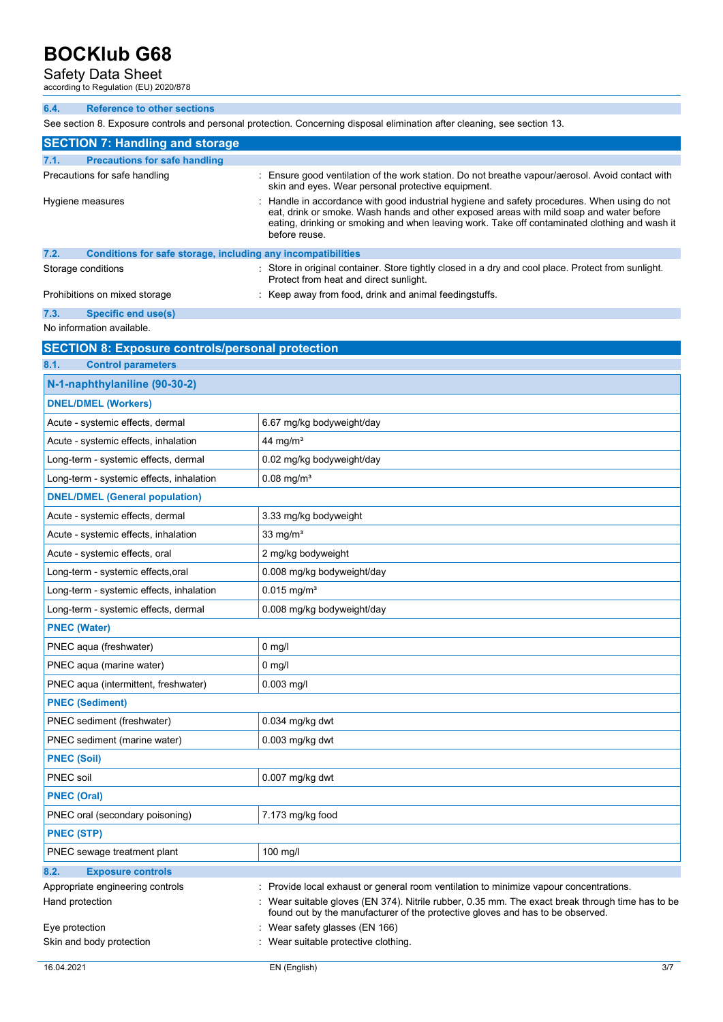### Safety Data Sheet according to Regulation (EU) 2020/878

| 6.4.<br><b>Reference to other sections</b>                           |                                                                                                                                                                                                                                                                                                           |
|----------------------------------------------------------------------|-----------------------------------------------------------------------------------------------------------------------------------------------------------------------------------------------------------------------------------------------------------------------------------------------------------|
|                                                                      | See section 8. Exposure controls and personal protection. Concerning disposal elimination after cleaning, see section 13.                                                                                                                                                                                 |
| <b>SECTION 7: Handling and storage</b>                               |                                                                                                                                                                                                                                                                                                           |
| <b>Precautions for safe handling</b><br>7.1.                         |                                                                                                                                                                                                                                                                                                           |
| Precautions for safe handling                                        | : Ensure good ventilation of the work station. Do not breathe vapour/aerosol. Avoid contact with<br>skin and eyes. Wear personal protective equipment.                                                                                                                                                    |
| Hygiene measures                                                     | : Handle in accordance with good industrial hygiene and safety procedures. When using do not<br>eat, drink or smoke. Wash hands and other exposed areas with mild soap and water before<br>eating, drinking or smoking and when leaving work. Take off contaminated clothing and wash it<br>before reuse. |
| 7.2.<br>Conditions for safe storage, including any incompatibilities |                                                                                                                                                                                                                                                                                                           |
| Storage conditions                                                   | : Store in original container. Store tightly closed in a dry and cool place. Protect from sunlight.<br>Protect from heat and direct sunlight.                                                                                                                                                             |
| Prohibitions on mixed storage                                        | : Keep away from food, drink and animal feedingstuffs.                                                                                                                                                                                                                                                    |
| 7.3.<br><b>Specific end use(s)</b>                                   |                                                                                                                                                                                                                                                                                                           |
| No information available.                                            |                                                                                                                                                                                                                                                                                                           |
| <b>SECTION 8: Exposure controls/personal protection</b>              |                                                                                                                                                                                                                                                                                                           |
| 8.1.<br><b>Control parameters</b>                                    |                                                                                                                                                                                                                                                                                                           |
| N-1-naphthylaniline (90-30-2)                                        |                                                                                                                                                                                                                                                                                                           |
| <b>DNEL/DMEL (Workers)</b>                                           |                                                                                                                                                                                                                                                                                                           |
| Acute - systemic effects, dermal                                     | 6.67 mg/kg bodyweight/day                                                                                                                                                                                                                                                                                 |
| Acute - systemic effects, inhalation                                 | 44 mg/m <sup>3</sup>                                                                                                                                                                                                                                                                                      |
| Long-term - systemic effects, dermal                                 | 0.02 mg/kg bodyweight/day                                                                                                                                                                                                                                                                                 |
| Long-term - systemic effects, inhalation                             | $0.08$ mg/m <sup>3</sup>                                                                                                                                                                                                                                                                                  |
| <b>DNEL/DMEL (General population)</b>                                |                                                                                                                                                                                                                                                                                                           |
| Acute - systemic effects, dermal                                     | 3.33 mg/kg bodyweight                                                                                                                                                                                                                                                                                     |
| Acute - systemic effects, inhalation                                 | 33 mg/ $m3$                                                                                                                                                                                                                                                                                               |
| Acute - systemic effects, oral                                       | 2 mg/kg bodyweight                                                                                                                                                                                                                                                                                        |
| Long-term - systemic effects, oral                                   | 0.008 mg/kg bodyweight/day                                                                                                                                                                                                                                                                                |
| Long-term - systemic effects, inhalation                             | $0.015$ mg/m <sup>3</sup>                                                                                                                                                                                                                                                                                 |
| Long-term - systemic effects, dermal                                 | 0.008 mg/kg bodyweight/day                                                                                                                                                                                                                                                                                |
| <b>PNEC (Water)</b>                                                  |                                                                                                                                                                                                                                                                                                           |
| PNEC aqua (freshwater)                                               | $0$ mg/                                                                                                                                                                                                                                                                                                   |
| PNEC aqua (marine water)                                             | $0$ mg/l                                                                                                                                                                                                                                                                                                  |
| PNEC aqua (intermittent, freshwater)                                 | 0.003 mg/l                                                                                                                                                                                                                                                                                                |
| <b>PNEC (Sediment)</b>                                               |                                                                                                                                                                                                                                                                                                           |
| PNEC sediment (freshwater)                                           | $0.034$ mg/kg dwt                                                                                                                                                                                                                                                                                         |
| PNEC sediment (marine water)                                         | 0.003 mg/kg dwt                                                                                                                                                                                                                                                                                           |
| <b>PNEC (Soil)</b>                                                   |                                                                                                                                                                                                                                                                                                           |
| PNEC soil                                                            | $0.007$ mg/kg dwt                                                                                                                                                                                                                                                                                         |
| <b>PNEC (Oral)</b>                                                   |                                                                                                                                                                                                                                                                                                           |
| PNEC oral (secondary poisoning)                                      | 7.173 mg/kg food                                                                                                                                                                                                                                                                                          |
| <b>PNEC (STP)</b>                                                    |                                                                                                                                                                                                                                                                                                           |
| PNEC sewage treatment plant                                          | 100 mg/l                                                                                                                                                                                                                                                                                                  |
| 8.2.<br><b>Exposure controls</b>                                     |                                                                                                                                                                                                                                                                                                           |
| Appropriate engineering controls                                     | : Provide local exhaust or general room ventilation to minimize vapour concentrations.                                                                                                                                                                                                                    |
| Hand protection                                                      | Wear suitable gloves (EN 374). Nitrile rubber, 0.35 mm. The exact break through time has to be<br>found out by the manufacturer of the protective gloves and has to be observed.                                                                                                                          |
| Eye protection                                                       | : Wear safety glasses (EN 166)                                                                                                                                                                                                                                                                            |
| Skin and body protection                                             | : Wear suitable protective clothing.                                                                                                                                                                                                                                                                      |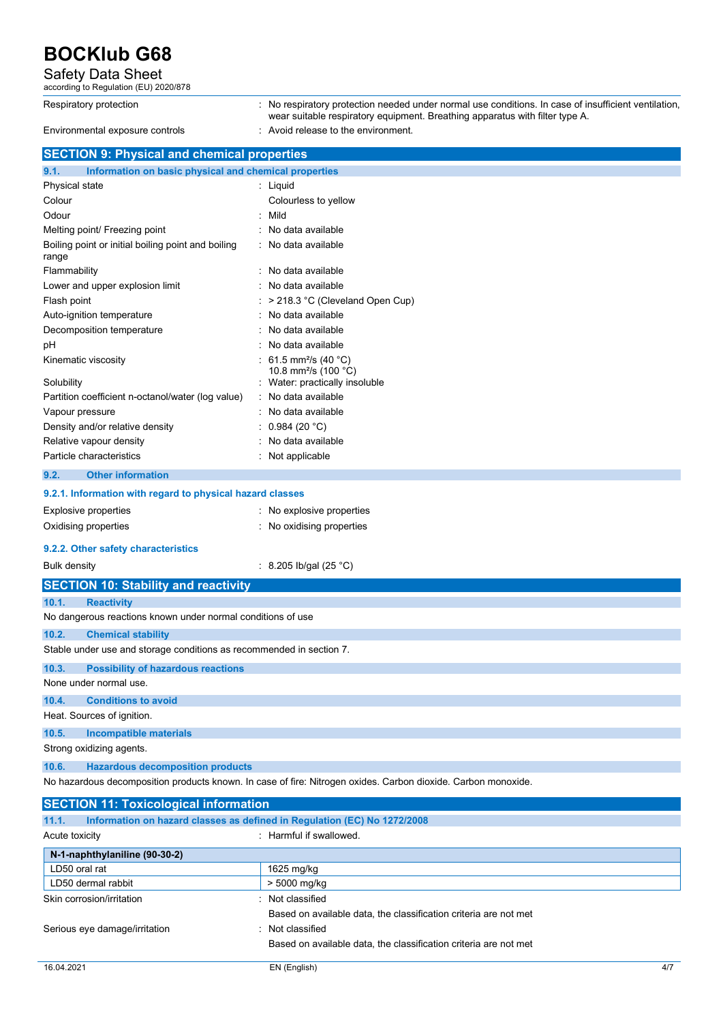### Safety Data Sheet according to Regulation (EU) 2020/878

| according to Regulation (EU) 2020/878                                             |                                                                                                                                                                                    |
|-----------------------------------------------------------------------------------|------------------------------------------------------------------------------------------------------------------------------------------------------------------------------------|
| Respiratory protection                                                            | No respiratory protection needed under normal use conditions. In case of insufficient ventilation,<br>wear suitable respiratory equipment. Breathing apparatus with filter type A. |
| Environmental exposure controls                                                   | : Avoid release to the environment.                                                                                                                                                |
| <b>SECTION 9: Physical and chemical properties</b>                                |                                                                                                                                                                                    |
| Information on basic physical and chemical properties<br>9.1.                     |                                                                                                                                                                                    |
| Physical state                                                                    | : Liquid                                                                                                                                                                           |
| Colour                                                                            | Colourless to yellow                                                                                                                                                               |
| Odour                                                                             | Mild                                                                                                                                                                               |
| Melting point/ Freezing point                                                     | No data available                                                                                                                                                                  |
| Boiling point or initial boiling point and boiling<br>range                       | No data available                                                                                                                                                                  |
| Flammability                                                                      | No data available                                                                                                                                                                  |
| Lower and upper explosion limit                                                   | No data available                                                                                                                                                                  |
| Flash point                                                                       | > 218.3 °C (Cleveland Open Cup)                                                                                                                                                    |
| Auto-ignition temperature                                                         | No data available                                                                                                                                                                  |
| Decomposition temperature                                                         | No data available                                                                                                                                                                  |
| рH                                                                                | No data available                                                                                                                                                                  |
| Kinematic viscosity                                                               | 61.5 mm <sup>2</sup> /s (40 °C)<br>10.8 mm <sup>2</sup> /s (100 °C)                                                                                                                |
| Solubility                                                                        | Water: practically insoluble                                                                                                                                                       |
| Partition coefficient n-octanol/water (log value)                                 | No data available                                                                                                                                                                  |
| Vapour pressure                                                                   | No data available                                                                                                                                                                  |
| Density and/or relative density                                                   | 0.984(20 °C)                                                                                                                                                                       |
| Relative vapour density<br>Particle characteristics                               | No data available<br>Not applicable                                                                                                                                                |
| <b>Other information</b><br>9.2.                                                  |                                                                                                                                                                                    |
| 9.2.1. Information with regard to physical hazard classes                         |                                                                                                                                                                                    |
| <b>Explosive properties</b>                                                       | No explosive properties                                                                                                                                                            |
| Oxidising properties                                                              | : No oxidising properties                                                                                                                                                          |
|                                                                                   |                                                                                                                                                                                    |
| 9.2.2. Other safety characteristics                                               |                                                                                                                                                                                    |
| <b>Bulk density</b>                                                               | : 8.205 lb/gal (25 °C)                                                                                                                                                             |
| <b>SECTION 10: Stability and reactivity</b>                                       |                                                                                                                                                                                    |
| 10.1.<br><b>Reactivity</b>                                                        |                                                                                                                                                                                    |
| No dangerous reactions known under normal conditions of use                       |                                                                                                                                                                                    |
| 10.2.<br><b>Chemical stability</b>                                                |                                                                                                                                                                                    |
| Stable under use and storage conditions as recommended in section 7.              |                                                                                                                                                                                    |
| 10.3.<br><b>Possibility of hazardous reactions</b>                                |                                                                                                                                                                                    |
| None under normal use.                                                            |                                                                                                                                                                                    |
| <b>Conditions to avoid</b><br>10.4.                                               |                                                                                                                                                                                    |
| Heat. Sources of ignition.                                                        |                                                                                                                                                                                    |
| 10.5.<br><b>Incompatible materials</b>                                            |                                                                                                                                                                                    |
| Strong oxidizing agents.                                                          |                                                                                                                                                                                    |
| 10.6.<br><b>Hazardous decomposition products</b>                                  |                                                                                                                                                                                    |
|                                                                                   | No hazardous decomposition products known. In case of fire: Nitrogen oxides. Carbon dioxide. Carbon monoxide.                                                                      |
| <b>SECTION 11: Toxicological information</b>                                      |                                                                                                                                                                                    |
| 11.1.<br>Information on hazard classes as defined in Regulation (EC) No 1272/2008 |                                                                                                                                                                                    |
| Acute toxicity                                                                    | : Harmful if swallowed.                                                                                                                                                            |
| N-1-naphthylaniline (90-30-2)                                                     |                                                                                                                                                                                    |
| LD50 oral rat                                                                     | 1625 mg/kg                                                                                                                                                                         |
| LD50 dermal rabbit                                                                | > 5000 mg/kg                                                                                                                                                                       |
| Skin corrosion/irritation                                                         | Not classified                                                                                                                                                                     |
|                                                                                   | Based on available data, the classification criteria are not met                                                                                                                   |

Serious eye damage/irritation **in the serious example of the Serious** : Not classified

Based on available data, the classification criteria are not met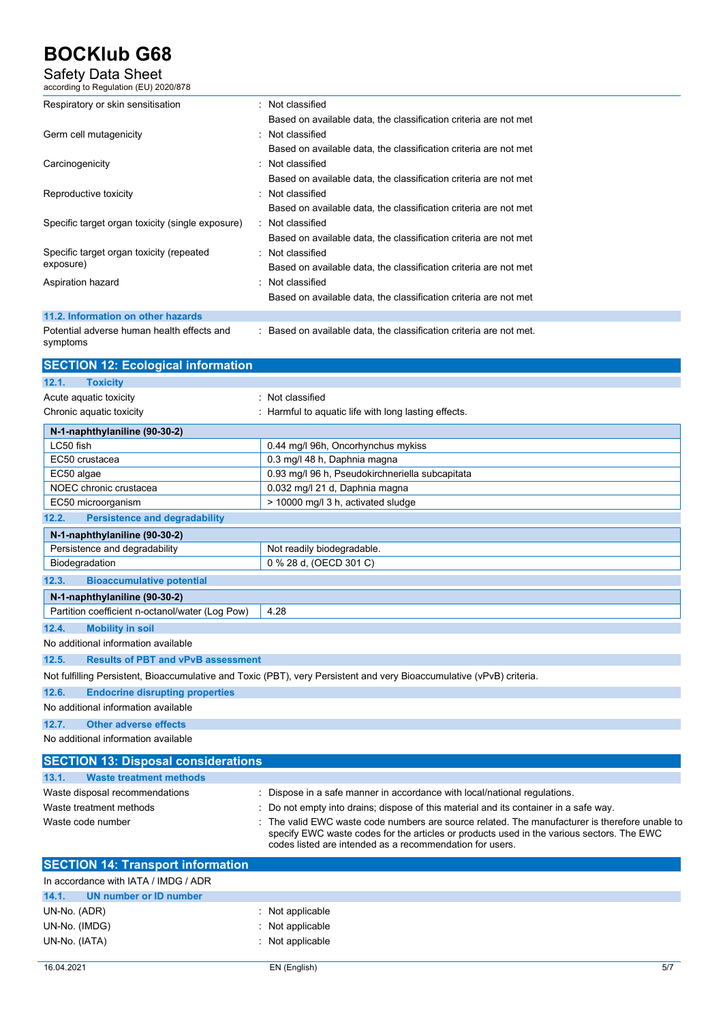### Safety Data Sheet according to Regulation (EU) 2020/878

| Respiratory or skin sensitisation                      | : Not classified                                                    |
|--------------------------------------------------------|---------------------------------------------------------------------|
|                                                        | Based on available data, the classification criteria are not met    |
| Germ cell mutagenicity                                 | : Not classified                                                    |
|                                                        | Based on available data, the classification criteria are not met    |
| Carcinogenicity                                        | : Not classified                                                    |
|                                                        | Based on available data, the classification criteria are not met    |
| Reproductive toxicity                                  | : Not classified                                                    |
|                                                        | Based on available data, the classification criteria are not met    |
| Specific target organ toxicity (single exposure)       | : Not classified                                                    |
|                                                        | Based on available data, the classification criteria are not met    |
| Specific target organ toxicity (repeated               | : Not classified                                                    |
| exposure)                                              | Based on available data, the classification criteria are not met    |
| Aspiration hazard                                      | : Not classified                                                    |
|                                                        | Based on available data, the classification criteria are not met    |
| 11.2. Information on other hazards                     |                                                                     |
| Potential adverse human health effects and<br>symptoms | : Based on available data, the classification criteria are not met. |

| <b>SECTION 12: Ecological information</b>          |                                                                                                                       |  |
|----------------------------------------------------|-----------------------------------------------------------------------------------------------------------------------|--|
| 12.1.<br><b>Toxicity</b>                           |                                                                                                                       |  |
| Acute aquatic toxicity                             | : Not classified                                                                                                      |  |
| Chronic aquatic toxicity                           | : Harmful to aquatic life with long lasting effects.                                                                  |  |
| N-1-naphthylaniline (90-30-2)                      |                                                                                                                       |  |
| LC50 fish                                          | 0.44 mg/l 96h, Oncorhynchus mykiss                                                                                    |  |
| EC50 crustacea                                     | 0.3 mg/l 48 h, Daphnia magna                                                                                          |  |
| EC50 algae                                         | 0.93 mg/l 96 h, Pseudokirchneriella subcapitata                                                                       |  |
| NOEC chronic crustacea                             | 0.032 mg/l 21 d, Daphnia magna                                                                                        |  |
| EC50 microorganism                                 | > 10000 mg/l 3 h, activated sludge                                                                                    |  |
| <b>Persistence and degradability</b><br>12.2.      |                                                                                                                       |  |
| N-1-naphthylaniline (90-30-2)                      |                                                                                                                       |  |
| Persistence and degradability                      | Not readily biodegradable.                                                                                            |  |
| Biodegradation                                     | 0 % 28 d, (OECD 301 C)                                                                                                |  |
| <b>Bioaccumulative potential</b><br>12.3.          |                                                                                                                       |  |
| N-1-naphthylaniline (90-30-2)                      |                                                                                                                       |  |
| Partition coefficient n-octanol/water (Log Pow)    | 4.28                                                                                                                  |  |
| 12.4.<br><b>Mobility in soil</b>                   |                                                                                                                       |  |
| No additional information available                |                                                                                                                       |  |
| <b>Results of PBT and vPvB assessment</b><br>12.5. |                                                                                                                       |  |
|                                                    | Not fulfilling Persistent, Bioaccumulative and Toxic (PBT), very Persistent and very Bioaccumulative (vPvB) criteria. |  |
| 12.6.<br><b>Endocrine disrupting properties</b>    |                                                                                                                       |  |
| No additional information available                |                                                                                                                       |  |
| 12.7.<br><b>Other adverse effects</b>              |                                                                                                                       |  |
| No additional information available                |                                                                                                                       |  |
| <b>SECTION 13: Disposal considerations</b>         |                                                                                                                       |  |
| 13.1.<br><b>Waste treatment methods</b>            |                                                                                                                       |  |
| Waste disposal recommendations                     | Dispose in a safe manner in accordance with local/national regulations.                                               |  |
| Waste treatment methods                            | Do not empty into drains; dispose of this material and its container in a safe way.                                   |  |
| Waste code number                                  | The valid EWC waste code numbers are source related. The manufacturer is therefore unable to                          |  |

|                                          | codes listed are intended as a recommendation for users. |
|------------------------------------------|----------------------------------------------------------|
| <b>SECTION 14: Transport information</b> |                                                          |
| In accordance with IATA / IMDG / ADR     |                                                          |
| 14.1.<br>UN number or ID number          |                                                          |
| UN-No. (ADR)                             | $\therefore$ Not applicable                              |
| UN-No. (IMDG)                            | $\therefore$ Not applicable                              |
| UN-No. (IATA)                            | $\therefore$ Not applicable                              |
|                                          |                                                          |

specify EWC waste codes for the articles or products used in the various sectors. The EWC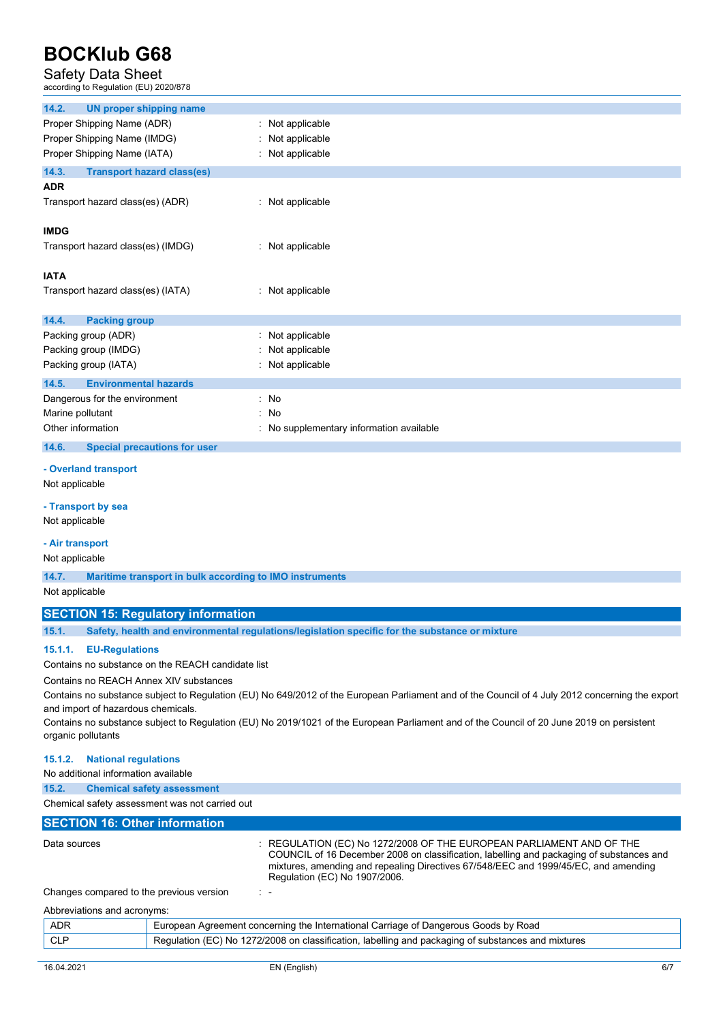#### Safety Data Sheet

according to Regulation (EU) 2020/878

| 14.2.<br><b>UN proper shipping name</b>                          |                                                                                                |
|------------------------------------------------------------------|------------------------------------------------------------------------------------------------|
| Proper Shipping Name (ADR)                                       | Not applicable<br>÷.                                                                           |
| Proper Shipping Name (IMDG)                                      | Not applicable                                                                                 |
| Proper Shipping Name (IATA)                                      | Not applicable                                                                                 |
| 14.3.<br><b>Transport hazard class(es)</b>                       |                                                                                                |
| <b>ADR</b>                                                       |                                                                                                |
| Transport hazard class(es) (ADR)                                 | : Not applicable                                                                               |
| <b>IMDG</b>                                                      |                                                                                                |
| Transport hazard class(es) (IMDG)                                | : Not applicable                                                                               |
|                                                                  |                                                                                                |
| <b>IATA</b>                                                      |                                                                                                |
| Transport hazard class(es) (IATA)                                | : Not applicable                                                                               |
|                                                                  |                                                                                                |
| 14.4.<br><b>Packing group</b><br>Packing group (ADR)             | Not applicable                                                                                 |
| Packing group (IMDG)                                             | Not applicable                                                                                 |
| Packing group (IATA)                                             | Not applicable                                                                                 |
| 14.5.<br><b>Environmental hazards</b>                            |                                                                                                |
| Dangerous for the environment                                    | No<br>÷.                                                                                       |
| Marine pollutant                                                 | No<br>t                                                                                        |
| Other information                                                | No supplementary information available                                                         |
| 14.6.<br><b>Special precautions for user</b>                     |                                                                                                |
| - Overland transport                                             |                                                                                                |
| Not applicable                                                   |                                                                                                |
|                                                                  |                                                                                                |
| - Transport by sea                                               |                                                                                                |
| Not applicable                                                   |                                                                                                |
| - Air transport                                                  |                                                                                                |
| Not applicable                                                   |                                                                                                |
| 14.7.<br>Maritime transport in bulk according to IMO instruments |                                                                                                |
| Not applicable                                                   |                                                                                                |
| <b>SECTION 15: Regulatory information</b>                        |                                                                                                |
| 15.1.                                                            | Safety, health and environmental regulations/legislation specific for the substance or mixture |
| <b>EU-Regulations</b><br>15.1.1.                                 |                                                                                                |
| Contains no substance on the REACH candidate list                |                                                                                                |
| Contains no REACH Annex XIV substances                           |                                                                                                |

Contains no substance subject to Regulation (EU) No 649/2012 of the European Parliament and of the Council of 4 July 2012 concerning the export and import of hazardous chemicals.

Contains no substance subject to Regulation (EU) No 2019/1021 of the European Parliament and of the Council of 20 June 2019 on persistent organic pollutants

#### **15.1.2. National regulations**

No additional information available

**15.2. Chemical safety assessment** 

Chemical safety assessment was not carried out

#### **SECTION 16: Other information**

| Data sources                             | $\pm$ REGULATION (EC) No 1272/2008 OF THE EUROPEAN PARLIAMENT AND OF THE<br>COUNCIL of 16 December 2008 on classification, labelling and packaging of substances and<br>mixtures, amending and repealing Directives 67/548/EEC and 1999/45/EC, and amending<br>Regulation (EC) No 1907/2006. |
|------------------------------------------|----------------------------------------------------------------------------------------------------------------------------------------------------------------------------------------------------------------------------------------------------------------------------------------------|
| Changes compared to the previous version | $\mathbb{R}^n$                                                                                                                                                                                                                                                                               |
| Abbreviations and acronyms:              |                                                                                                                                                                                                                                                                                              |
| ADR                                      | European Agreement concerning the International Carriage of Dangerous Goods by Road                                                                                                                                                                                                          |

| <b>ADIN</b> | Larepour Agreement concerning the international Damage or Dangerous Occus by Road                       |
|-------------|---------------------------------------------------------------------------------------------------------|
| <b>CLP</b>  | $_1$ Regulation (EC) No 1272/2008 on classification, labelling and packaging of substances and mixtures |
|             |                                                                                                         |